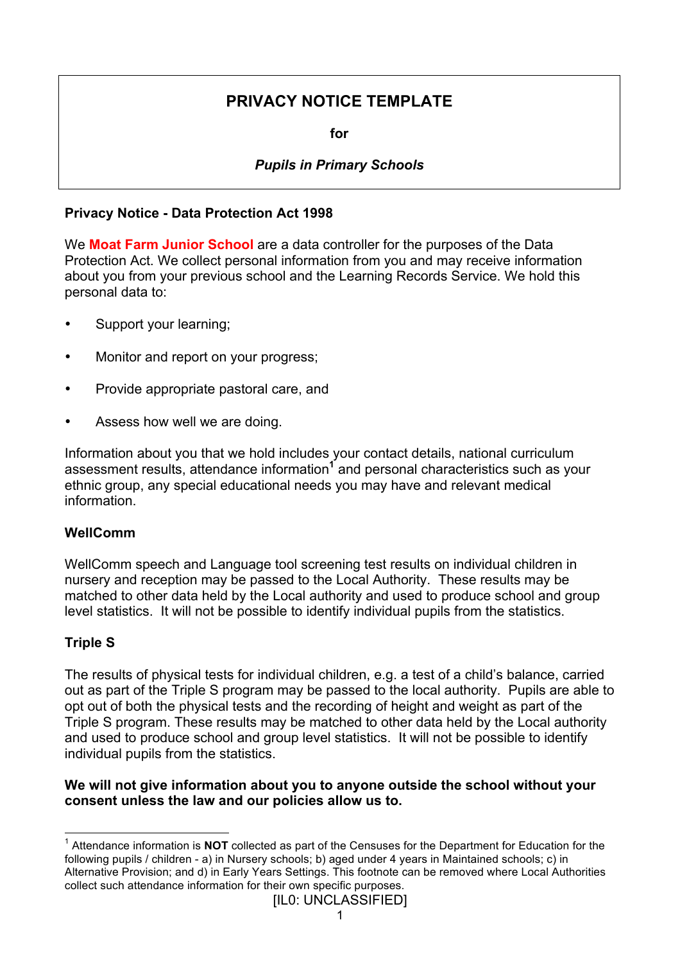# **PRIVACY NOTICE TEMPLATE**

**for**

## *Pupils in Primary Schools*

### **Privacy Notice - Data Protection Act 1998**

We **Moat Farm Junior School** are a data controller for the purposes of the Data Protection Act. We collect personal information from you and may receive information about you from your previous school and the Learning Records Service. We hold this personal data to:

- Support your learning;
- Monitor and report on your progress;
- Provide appropriate pastoral care, and
- Assess how well we are doing.

Information about you that we hold includes your contact details, national curriculum assessment results, attendance information**<sup>1</sup>** and personal characteristics such as your ethnic group, any special educational needs you may have and relevant medical information.

### **WellComm**

WellComm speech and Language tool screening test results on individual children in nursery and reception may be passed to the Local Authority. These results may be matched to other data held by the Local authority and used to produce school and group level statistics. It will not be possible to identify individual pupils from the statistics.

### **Triple S**

The results of physical tests for individual children, e.g. a test of a child's balance, carried out as part of the Triple S program may be passed to the local authority. Pupils are able to opt out of both the physical tests and the recording of height and weight as part of the Triple S program. These results may be matched to other data held by the Local authority and used to produce school and group level statistics. It will not be possible to identify individual pupils from the statistics.

### **We will not give information about you to anyone outside the school without your consent unless the law and our policies allow us to.**

 <sup>1</sup> Attendance information is **NOT** collected as part of the Censuses for the Department for Education for the following pupils / children - a) in Nursery schools; b) aged under 4 years in Maintained schools; c) in Alternative Provision; and d) in Early Years Settings. This footnote can be removed where Local Authorities collect such attendance information for their own specific purposes.